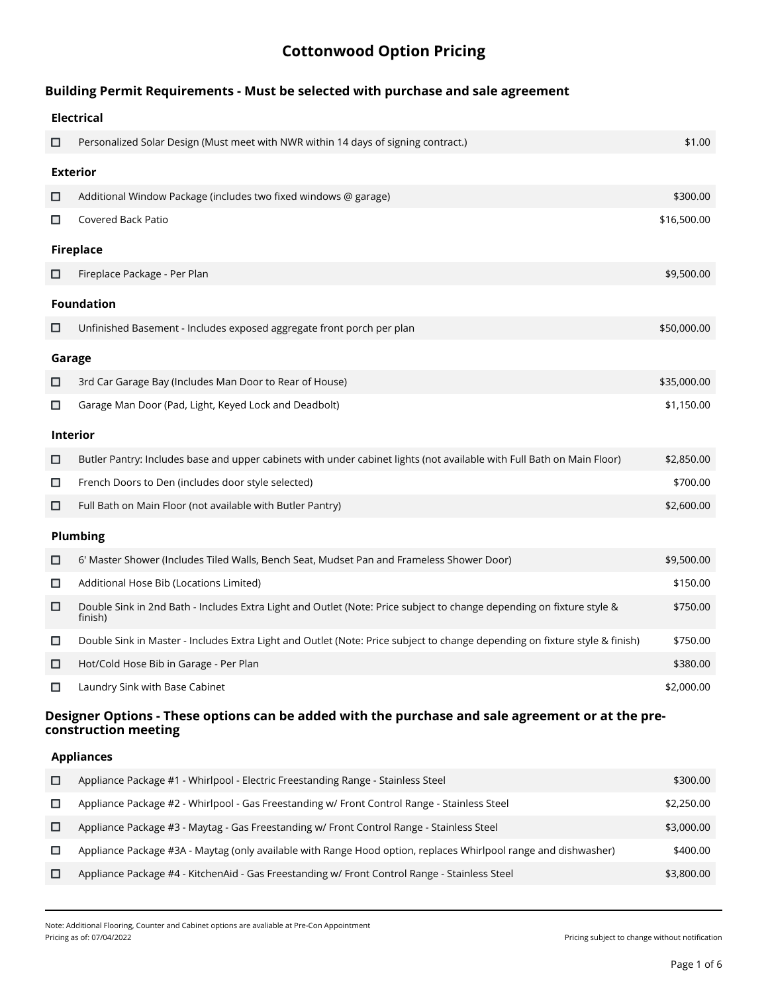# **Cottonwood Option Pricing**

# **Building Permit Requirements - Must be selected with purchase and sale agreement**

| <b>Electrical</b>                                                                                                         |                                                                                                                                  |             |  |  |
|---------------------------------------------------------------------------------------------------------------------------|----------------------------------------------------------------------------------------------------------------------------------|-------------|--|--|
| □                                                                                                                         | Personalized Solar Design (Must meet with NWR within 14 days of signing contract.)                                               | \$1.00      |  |  |
|                                                                                                                           | <b>Exterior</b>                                                                                                                  |             |  |  |
| □                                                                                                                         | Additional Window Package (includes two fixed windows @ garage)                                                                  | \$300.00    |  |  |
| □                                                                                                                         | Covered Back Patio                                                                                                               | \$16,500.00 |  |  |
|                                                                                                                           | <b>Fireplace</b>                                                                                                                 |             |  |  |
| □                                                                                                                         | Fireplace Package - Per Plan                                                                                                     | \$9,500.00  |  |  |
|                                                                                                                           | <b>Foundation</b>                                                                                                                |             |  |  |
| □                                                                                                                         | Unfinished Basement - Includes exposed aggregate front porch per plan                                                            | \$50,000.00 |  |  |
| Garage                                                                                                                    |                                                                                                                                  |             |  |  |
| □                                                                                                                         | 3rd Car Garage Bay (Includes Man Door to Rear of House)                                                                          | \$35,000.00 |  |  |
| □                                                                                                                         | Garage Man Door (Pad, Light, Keyed Lock and Deadbolt)                                                                            | \$1,150.00  |  |  |
|                                                                                                                           | <b>Interior</b>                                                                                                                  |             |  |  |
| □                                                                                                                         | Butler Pantry: Includes base and upper cabinets with under cabinet lights (not available with Full Bath on Main Floor)           | \$2,850.00  |  |  |
| □                                                                                                                         | French Doors to Den (includes door style selected)                                                                               | \$700.00    |  |  |
| □                                                                                                                         | Full Bath on Main Floor (not available with Butler Pantry)                                                                       | \$2,600.00  |  |  |
|                                                                                                                           | <b>Plumbing</b>                                                                                                                  |             |  |  |
| □                                                                                                                         | 6' Master Shower (Includes Tiled Walls, Bench Seat, Mudset Pan and Frameless Shower Door)                                        | \$9,500.00  |  |  |
| □                                                                                                                         | Additional Hose Bib (Locations Limited)                                                                                          | \$150.00    |  |  |
| □                                                                                                                         | Double Sink in 2nd Bath - Includes Extra Light and Outlet (Note: Price subject to change depending on fixture style &<br>finish) | \$750.00    |  |  |
| □                                                                                                                         | Double Sink in Master - Includes Extra Light and Outlet (Note: Price subject to change depending on fixture style & finish)      | \$750.00    |  |  |
| □                                                                                                                         | Hot/Cold Hose Bib in Garage - Per Plan                                                                                           | \$380.00    |  |  |
| □                                                                                                                         | Laundry Sink with Base Cabinet                                                                                                   | \$2,000.00  |  |  |
| Designer Options - These options can be added with the purchase and sale agreement or at the pre-<br>construction meeting |                                                                                                                                  |             |  |  |

#### **Appliances**

| □ | Appliance Package #1 - Whirlpool - Electric Freestanding Range - Stainless Steel                                | \$300.00   |
|---|-----------------------------------------------------------------------------------------------------------------|------------|
|   | Appliance Package #2 - Whirlpool - Gas Freestanding w/ Front Control Range - Stainless Steel                    | \$2,250.00 |
|   | Appliance Package #3 - Maytag - Gas Freestanding w/ Front Control Range - Stainless Steel                       | \$3,000.00 |
|   | Appliance Package #3A - Maytag (only available with Range Hood option, replaces Whirlpool range and dishwasher) | \$400.00   |
|   | Appliance Package #4 - KitchenAid - Gas Freestanding w/ Front Control Range - Stainless Steel                   | \$3,800.00 |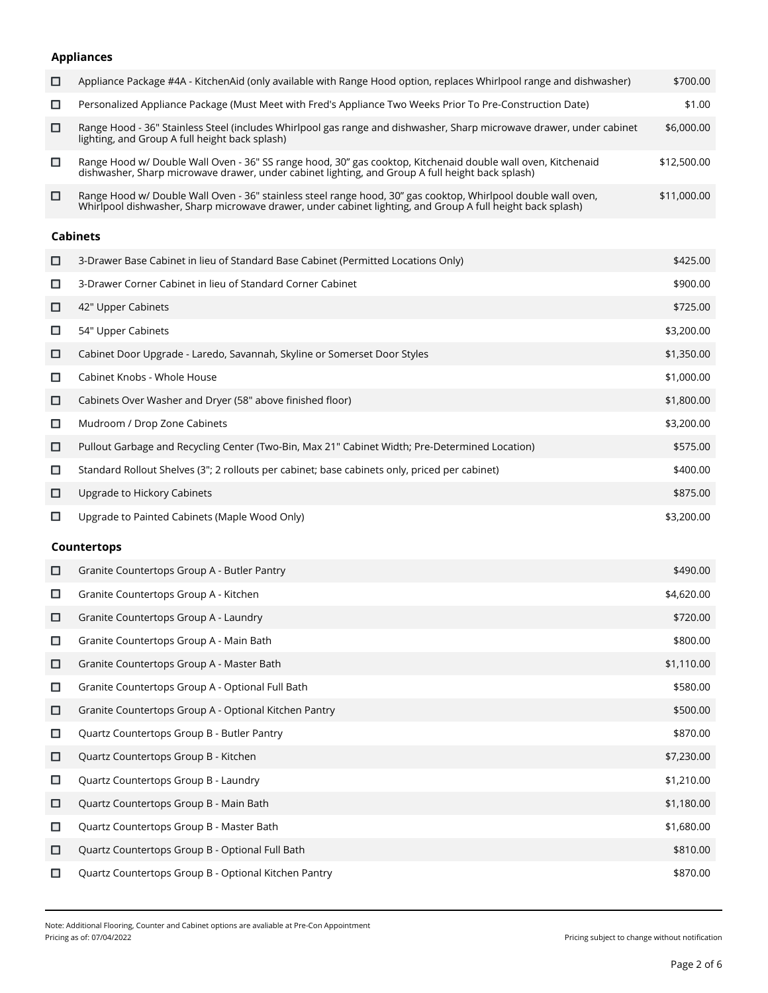# **Appliances**

| □      | Appliance Package #4A - KitchenAid (only available with Range Hood option, replaces Whirlpool range and dishwasher)                                                                                                         | \$700.00    |
|--------|-----------------------------------------------------------------------------------------------------------------------------------------------------------------------------------------------------------------------------|-------------|
| □      | Personalized Appliance Package (Must Meet with Fred's Appliance Two Weeks Prior To Pre-Construction Date)                                                                                                                   | \$1.00      |
| □      | Range Hood - 36" Stainless Steel (includes Whirlpool gas range and dishwasher, Sharp microwave drawer, under cabinet<br>lighting, and Group A full height back splash)                                                      | \$6,000.00  |
| □      | Range Hood w/ Double Wall Oven - 36" SS range hood, 30" gas cooktop, Kitchenaid double wall oven, Kitchenaid<br>dishwasher, Sharp microwave drawer, under cabinet lighting, and Group A full height back splash)            | \$12,500.00 |
| □      | Range Hood w/ Double Wall Oven - 36" stainless steel range hood, 30" gas cooktop, Whirlpool double wall oven,<br>Whirlpool dishwasher, Sharp microwave drawer, under cabinet lighting, and Group A full height back splash) | \$11,000.00 |
|        | <b>Cabinets</b>                                                                                                                                                                                                             |             |
| □      | 3-Drawer Base Cabinet in lieu of Standard Base Cabinet (Permitted Locations Only)                                                                                                                                           | \$425.00    |
| □      | 3-Drawer Corner Cabinet in lieu of Standard Corner Cabinet                                                                                                                                                                  | \$900.00    |
| □      | 42" Upper Cabinets                                                                                                                                                                                                          | \$725.00    |
| □      | 54" Upper Cabinets                                                                                                                                                                                                          | \$3,200.00  |
| □      | Cabinet Door Upgrade - Laredo, Savannah, Skyline or Somerset Door Styles                                                                                                                                                    | \$1,350.00  |
| □      | Cabinet Knobs - Whole House                                                                                                                                                                                                 | \$1,000.00  |
| □      | Cabinets Over Washer and Dryer (58" above finished floor)                                                                                                                                                                   | \$1,800.00  |
| □      | Mudroom / Drop Zone Cabinets                                                                                                                                                                                                | \$3,200.00  |
| □      | Pullout Garbage and Recycling Center (Two-Bin, Max 21" Cabinet Width; Pre-Determined Location)                                                                                                                              | \$575.00    |
| □      | Standard Rollout Shelves (3"; 2 rollouts per cabinet; base cabinets only, priced per cabinet)                                                                                                                               | \$400.00    |
| □      | Upgrade to Hickory Cabinets                                                                                                                                                                                                 | \$875.00    |
| □      | Upgrade to Painted Cabinets (Maple Wood Only)                                                                                                                                                                               | \$3,200.00  |
|        | <b>Countertops</b>                                                                                                                                                                                                          |             |
| □      | Granite Countertops Group A - Butler Pantry                                                                                                                                                                                 | \$490.00    |
| □      | Granite Countertops Group A - Kitchen                                                                                                                                                                                       | \$4,620.00  |
| □      | Granite Countertops Group A - Laundry                                                                                                                                                                                       | \$720.00    |
| □      | Granite Countertops Group A - Main Bath                                                                                                                                                                                     | \$800.00    |
| □      | Granite Countertops Group A - Master Bath                                                                                                                                                                                   | \$1,110.00  |
| □      | Granite Countertops Group A - Optional Full Bath                                                                                                                                                                            | \$580.00    |
| О      | Granite Countertops Group A - Optional Kitchen Pantry                                                                                                                                                                       | \$500.00    |
| □      | Quartz Countertops Group B - Butler Pantry                                                                                                                                                                                  | \$870.00    |
| □      | Quartz Countertops Group B - Kitchen                                                                                                                                                                                        | \$7,230.00  |
| □      | Quartz Countertops Group B - Laundry                                                                                                                                                                                        | \$1,210.00  |
| □      | Quartz Countertops Group B - Main Bath                                                                                                                                                                                      | \$1,180.00  |
| $\Box$ | Quartz Countertops Group B - Master Bath                                                                                                                                                                                    | \$1,680.00  |
| □      | Quartz Countertops Group B - Optional Full Bath                                                                                                                                                                             | \$810.00    |
| □      | Quartz Countertops Group B - Optional Kitchen Pantry                                                                                                                                                                        | \$870.00    |

Note: Additional Flooring, Counter and Cabinet options are avaliable at Pre-Con Appointment

Pricing subject to change without notification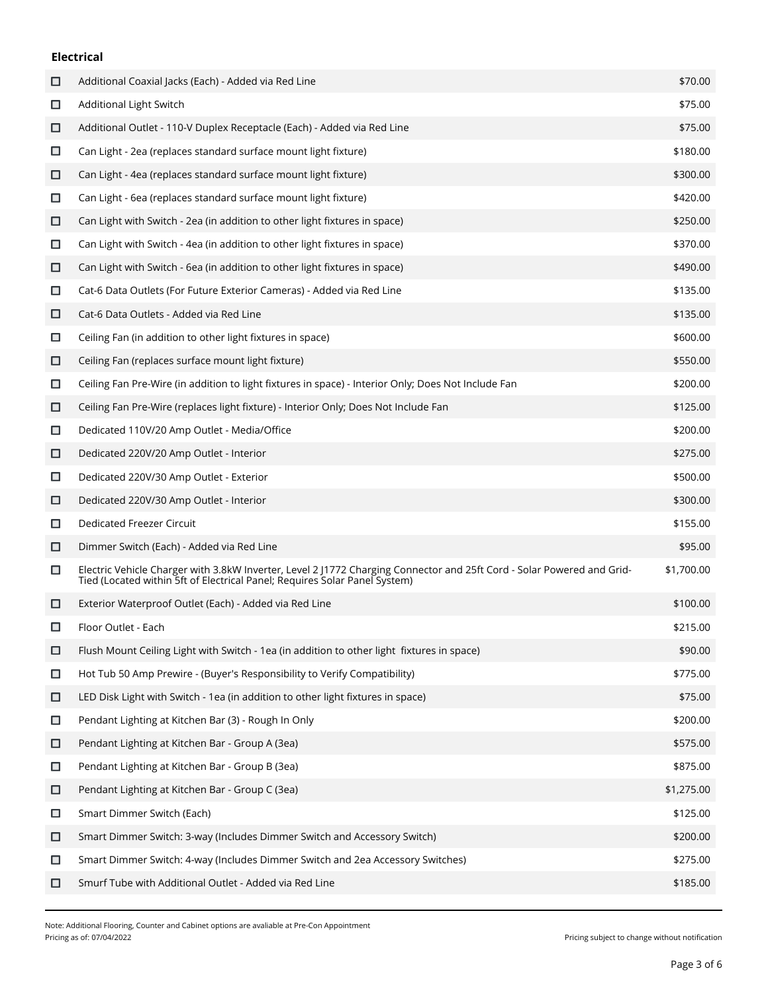#### **Electrical**

| □      | Additional Coaxial Jacks (Each) - Added via Red Line                                                                                                                                                 | \$70.00    |
|--------|------------------------------------------------------------------------------------------------------------------------------------------------------------------------------------------------------|------------|
| □      | Additional Light Switch                                                                                                                                                                              | \$75.00    |
| □      | Additional Outlet - 110-V Duplex Receptacle (Each) - Added via Red Line                                                                                                                              | \$75.00    |
| □      | Can Light - 2ea (replaces standard surface mount light fixture)                                                                                                                                      | \$180.00   |
| О      | Can Light - 4ea (replaces standard surface mount light fixture)                                                                                                                                      | \$300.00   |
| □      | Can Light - 6ea (replaces standard surface mount light fixture)                                                                                                                                      | \$420.00   |
| □      | Can Light with Switch - 2ea (in addition to other light fixtures in space)                                                                                                                           | \$250.00   |
| □      | Can Light with Switch - 4ea (in addition to other light fixtures in space)                                                                                                                           | \$370.00   |
| □      | Can Light with Switch - 6ea (in addition to other light fixtures in space)                                                                                                                           | \$490.00   |
| □      | Cat-6 Data Outlets (For Future Exterior Cameras) - Added via Red Line                                                                                                                                | \$135.00   |
| о      | Cat-6 Data Outlets - Added via Red Line                                                                                                                                                              | \$135.00   |
| □      | Ceiling Fan (in addition to other light fixtures in space)                                                                                                                                           | \$600.00   |
| □      | Ceiling Fan (replaces surface mount light fixture)                                                                                                                                                   | \$550.00   |
| □      | Ceiling Fan Pre-Wire (in addition to light fixtures in space) - Interior Only; Does Not Include Fan                                                                                                  | \$200.00   |
| □      | Ceiling Fan Pre-Wire (replaces light fixture) - Interior Only; Does Not Include Fan                                                                                                                  | \$125.00   |
| $\Box$ | Dedicated 110V/20 Amp Outlet - Media/Office                                                                                                                                                          | \$200.00   |
| □      | Dedicated 220V/20 Amp Outlet - Interior                                                                                                                                                              | \$275.00   |
| □      | Dedicated 220V/30 Amp Outlet - Exterior                                                                                                                                                              | \$500.00   |
| □      | Dedicated 220V/30 Amp Outlet - Interior                                                                                                                                                              | \$300.00   |
| □      | <b>Dedicated Freezer Circuit</b>                                                                                                                                                                     | \$155.00   |
| □      | Dimmer Switch (Each) - Added via Red Line                                                                                                                                                            | \$95.00    |
| □      | Electric Vehicle Charger with 3.8kW Inverter, Level 2 J1772 Charging Connector and 25ft Cord - Solar Powered and Grid-<br>Tied (Located within 5ft of Electrical Panel; Requires Solar Panel System) | \$1,700.00 |
| □      | Exterior Waterproof Outlet (Each) - Added via Red Line                                                                                                                                               | \$100.00   |
| □      | Floor Outlet - Each                                                                                                                                                                                  | \$215.00   |
| □      | Flush Mount Ceiling Light with Switch - 1ea (in addition to other light fixtures in space)                                                                                                           | \$90.00    |
| □      | Hot Tub 50 Amp Prewire - (Buyer's Responsibility to Verify Compatibility)                                                                                                                            | \$775.00   |
| □      | LED Disk Light with Switch - 1ea (in addition to other light fixtures in space)                                                                                                                      | \$75.00    |
| $\Box$ | Pendant Lighting at Kitchen Bar (3) - Rough In Only                                                                                                                                                  | \$200.00   |
| □      | Pendant Lighting at Kitchen Bar - Group A (3ea)                                                                                                                                                      | \$575.00   |
| $\Box$ | Pendant Lighting at Kitchen Bar - Group B (3ea)                                                                                                                                                      | \$875.00   |
| □      | Pendant Lighting at Kitchen Bar - Group C (3ea)                                                                                                                                                      | \$1,275.00 |
| □      | Smart Dimmer Switch (Each)                                                                                                                                                                           | \$125.00   |
| □      | Smart Dimmer Switch: 3-way (Includes Dimmer Switch and Accessory Switch)                                                                                                                             | \$200.00   |
| $\Box$ | Smart Dimmer Switch: 4-way (Includes Dimmer Switch and 2ea Accessory Switches)                                                                                                                       | \$275.00   |
| □      | Smurf Tube with Additional Outlet - Added via Red Line                                                                                                                                               | \$185.00   |

Note: Additional Flooring, Counter and Cabinet options are avaliable at Pre-Con Appointment

Pricing subject to change without notification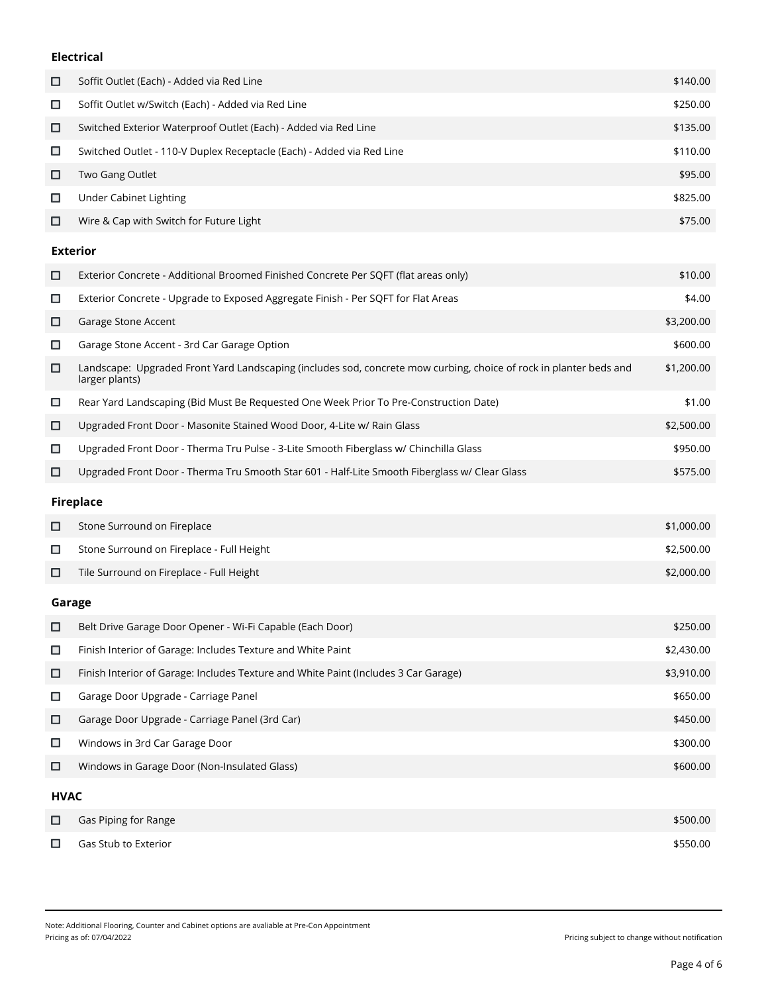#### **Electrical**

| □ | Soffit Outlet (Each) - Added via Red Line                             | \$140.00 |
|---|-----------------------------------------------------------------------|----------|
| □ | Soffit Outlet w/Switch (Each) - Added via Red Line                    | \$250.00 |
| □ | Switched Exterior Waterproof Outlet (Each) - Added via Red Line       | \$135.00 |
| □ | Switched Outlet - 110-V Duplex Receptacle (Each) - Added via Red Line | \$110.00 |
| □ | Two Gang Outlet                                                       | \$95.00  |
| □ | Under Cabinet Lighting                                                | \$825.00 |
| □ | Wire & Cap with Switch for Future Light                               | \$75.00  |

### **Exterior**

| □                | Exterior Concrete - Additional Broomed Finished Concrete Per SQFT (flat areas only)                                                  | \$10.00    |  |
|------------------|--------------------------------------------------------------------------------------------------------------------------------------|------------|--|
| □                | Exterior Concrete - Upgrade to Exposed Aggregate Finish - Per SQFT for Flat Areas                                                    | \$4.00     |  |
| □                | Garage Stone Accent                                                                                                                  | \$3,200.00 |  |
| □                | Garage Stone Accent - 3rd Car Garage Option                                                                                          | \$600.00   |  |
| □                | Landscape: Upgraded Front Yard Landscaping (includes sod, concrete mow curbing, choice of rock in planter beds and<br>larger plants) | \$1,200.00 |  |
| □                | Rear Yard Landscaping (Bid Must Be Requested One Week Prior To Pre-Construction Date)                                                | \$1.00     |  |
| □                | Upgraded Front Door - Masonite Stained Wood Door, 4-Lite w/ Rain Glass                                                               | \$2,500.00 |  |
| □                | Upgraded Front Door - Therma Tru Pulse - 3-Lite Smooth Fiberglass w/ Chinchilla Glass                                                | \$950.00   |  |
| □                | Upgraded Front Door - Therma Tru Smooth Star 601 - Half-Lite Smooth Fiberglass w/ Clear Glass                                        | \$575.00   |  |
| <b>Fireplace</b> |                                                                                                                                      |            |  |
| □                | Stone Surround on Fireplace                                                                                                          | \$1,000.00 |  |
| □                | Stone Surround on Fireplace - Full Height                                                                                            | \$2,500.00 |  |
| □                | Tile Surround on Fireplace - Full Height                                                                                             | \$2,000.00 |  |
|                  | Garage                                                                                                                               |            |  |
| П.               | Belt Drive Garage Door Opener - Wi-Fi Capable (Fach Door)                                                                            | \$250.00   |  |

| <b>Lating</b> | <u> DEIL DITVE GALAXE DOOL OPENEL - WI-FI CAPADIE (LACH DOOL)</u>                   | PLJU.UU    |
|---------------|-------------------------------------------------------------------------------------|------------|
| □             | Finish Interior of Garage: Includes Texture and White Paint                         | \$2,430.00 |
| □             | Finish Interior of Garage: Includes Texture and White Paint (Includes 3 Car Garage) | \$3,910.00 |
| □             | Garage Door Upgrade - Carriage Panel                                                | \$650.00   |
| □             | Garage Door Upgrade - Carriage Panel (3rd Car)                                      | \$450.00   |
| □             | Windows in 3rd Car Garage Door                                                      | \$300.00   |
| □             | Windows in Garage Door (Non-Insulated Glass)                                        | \$600.00   |
| <b>HVAC</b>   |                                                                                     |            |
|               | Gas Piping for Range                                                                | \$500.00   |
|               |                                                                                     |            |

 $\Box$ Gas Stub to Exterior  $$550.00$ 

Note: Additional Flooring, Counter and Cabinet options are avaliable at Pre-Con Appointment

Pricing subject to change without notification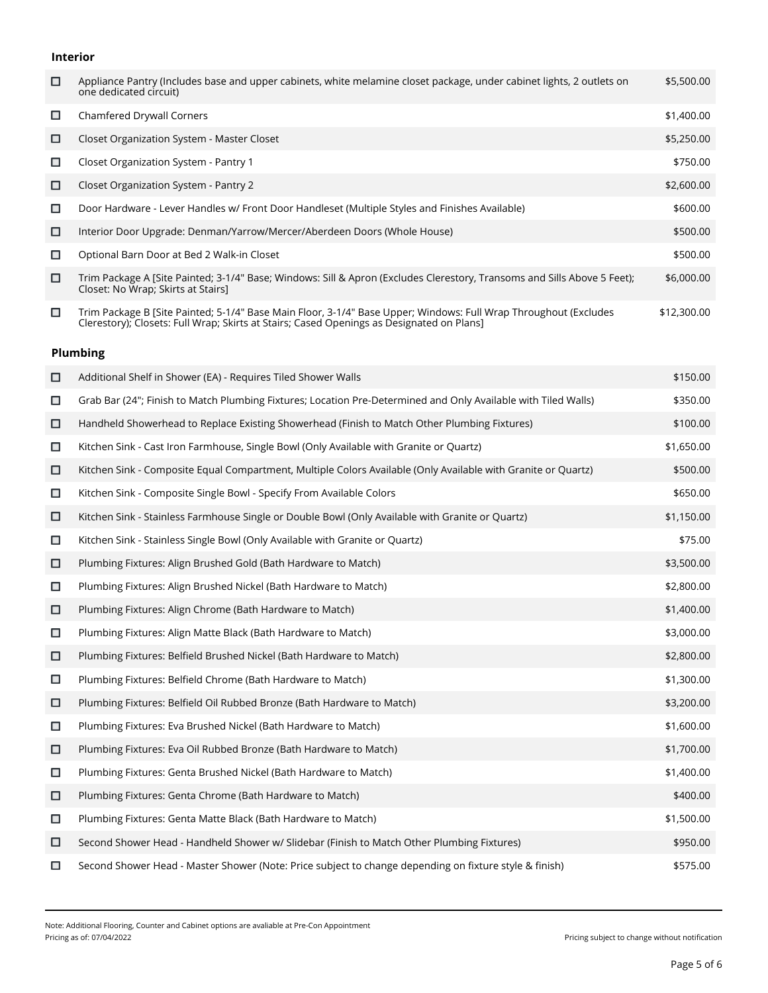#### **Interior**

| □      | Appliance Pantry (Includes base and upper cabinets, white melamine closet package, under cabinet lights, 2 outlets on<br>one dedicated circuit)                                                               | \$5,500.00  |
|--------|---------------------------------------------------------------------------------------------------------------------------------------------------------------------------------------------------------------|-------------|
| □      | Chamfered Drywall Corners                                                                                                                                                                                     | \$1,400.00  |
| □      | Closet Organization System - Master Closet                                                                                                                                                                    | \$5,250.00  |
| □      | Closet Organization System - Pantry 1                                                                                                                                                                         | \$750.00    |
| □      | Closet Organization System - Pantry 2                                                                                                                                                                         | \$2,600.00  |
| $\Box$ | Door Hardware - Lever Handles w/ Front Door Handleset (Multiple Styles and Finishes Available)                                                                                                                | \$600.00    |
| □      | Interior Door Upgrade: Denman/Yarrow/Mercer/Aberdeen Doors (Whole House)                                                                                                                                      | \$500.00    |
| $\Box$ | Optional Barn Door at Bed 2 Walk-in Closet                                                                                                                                                                    | \$500.00    |
| □      | Trim Package A [Site Painted; 3-1/4" Base; Windows: Sill & Apron (Excludes Clerestory, Transoms and Sills Above 5 Feet);<br>Closet: No Wrap; Skirts at Stairs]                                                | \$6,000.00  |
| □      | Trim Package B [Site Painted; 5-1/4" Base Main Floor, 3-1/4" Base Upper; Windows: Full Wrap Throughout (Excludes<br>Clerestory); Closets: Full Wrap; Skirts at Stairs; Cased Openings as Designated on Plans] | \$12,300.00 |
|        | <b>Plumbing</b>                                                                                                                                                                                               |             |
| □      | Additional Shelf in Shower (EA) - Requires Tiled Shower Walls                                                                                                                                                 | \$150.00    |
| □      | Grab Bar (24"; Finish to Match Plumbing Fixtures; Location Pre-Determined and Only Available with Tiled Walls)                                                                                                | \$350.00    |
| □      | Handheld Showerhead to Replace Existing Showerhead (Finish to Match Other Plumbing Fixtures)                                                                                                                  | \$100.00    |
| $\Box$ | Kitchen Sink - Cast Iron Farmhouse, Single Bowl (Only Available with Granite or Quartz)                                                                                                                       | \$1,650.00  |
| □      | Kitchen Sink - Composite Equal Compartment, Multiple Colors Available (Only Available with Granite or Quartz)                                                                                                 | \$500.00    |
| $\Box$ | Kitchen Sink - Composite Single Bowl - Specify From Available Colors                                                                                                                                          | \$650.00    |
| □      | Kitchen Sink - Stainless Farmhouse Single or Double Bowl (Only Available with Granite or Quartz)                                                                                                              | \$1,150.00  |
| $\Box$ | Kitchen Sink - Stainless Single Bowl (Only Available with Granite or Quartz)                                                                                                                                  | \$75.00     |
| □      | Plumbing Fixtures: Align Brushed Gold (Bath Hardware to Match)                                                                                                                                                | \$3,500.00  |
| □      | Plumbing Fixtures: Align Brushed Nickel (Bath Hardware to Match)                                                                                                                                              | \$2,800.00  |
| □      | Plumbing Fixtures: Align Chrome (Bath Hardware to Match)                                                                                                                                                      | \$1,400.00  |
| □      | Plumbing Fixtures: Align Matte Black (Bath Hardware to Match)                                                                                                                                                 | \$3,000.00  |
| □      | Plumbing Fixtures: Belfield Brushed Nickel (Bath Hardware to Match)                                                                                                                                           | \$2,800.00  |
| $\Box$ | Plumbing Fixtures: Belfield Chrome (Bath Hardware to Match)                                                                                                                                                   | \$1,300.00  |
| □      | Plumbing Fixtures: Belfield Oil Rubbed Bronze (Bath Hardware to Match)                                                                                                                                        | \$3,200.00  |
| □      | Plumbing Fixtures: Eva Brushed Nickel (Bath Hardware to Match)                                                                                                                                                | \$1,600.00  |
| □      | Plumbing Fixtures: Eva Oil Rubbed Bronze (Bath Hardware to Match)                                                                                                                                             | \$1,700.00  |
| О      | Plumbing Fixtures: Genta Brushed Nickel (Bath Hardware to Match)                                                                                                                                              | \$1,400.00  |
| □      | Plumbing Fixtures: Genta Chrome (Bath Hardware to Match)                                                                                                                                                      | \$400.00    |
| □      | Plumbing Fixtures: Genta Matte Black (Bath Hardware to Match)                                                                                                                                                 | \$1,500.00  |
| □      | Second Shower Head - Handheld Shower w/ Slidebar (Finish to Match Other Plumbing Fixtures)                                                                                                                    | \$950.00    |
| □      | Second Shower Head - Master Shower (Note: Price subject to change depending on fixture style & finish)                                                                                                        | \$575.00    |